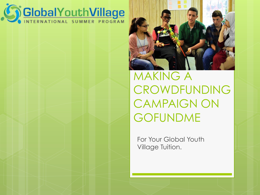



MAKING A CROWDFUNDING CAMPAIGN ON GOFUNDME

For Your Global Youth Village Tuition.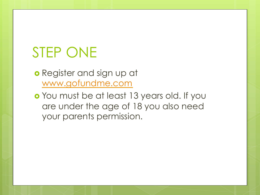# STEP ONE

#### o Register and sign up at www.gofundme.com

 You must be at least 13 years old. If you are under the age of 18 you also need your parents permission.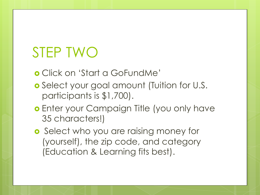#### STEP TWO

Click on 'Start a GoFundMe'

- Select your goal amount (Tuition for U.S. participants is \$1,700).
- **o** Enter your Campaign Title (you only have 35 characters!)
- **o** Select who you are raising money for (yourself), the zip code, and category (Education & Learning fits best).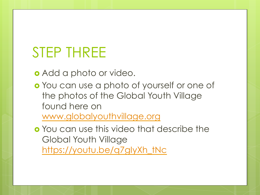#### STEP THREE

Add a photo or video.

 You can use a photo of yourself or one of the photos of the Global Youth Village found here on www.globalyouthvillage.org

 You can use this video that describe the Global Youth Village https://youtu.be/q7gIyXh\_tNc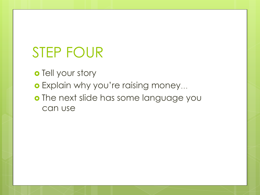# STEP FOUR

o Tell your story

- o Explain why you're raising money...
- o The next slide has some language you can use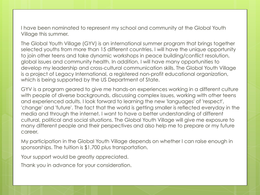I have been nominated to represent my school and community at the Global Youth Village this summer.

The Global Youth Village (GYV) is an international summer program that brings together selected youths from more than 15 different countries. I will have the unique opportunity to join other teens and take dynamic workshops in peace building/conflict resolution, global issues and community health. In addition, I will have many opportunities to develop my leadership and cross-cultural communication skills. The Global Youth Village is a project of Legacy International, a registered non-profit educational organization, which is being supported by the US Department of State.

GYV is a program geared to give me hands-on experiences working in a different culture with people of diverse backgrounds, discussing complex issues, working with other teens and experienced adults. I look forward to learning the new 'languages' of 'respect', 'change' and 'future'. The fact that the world is getting smaller is reflected everyday in the media and through the internet. I want to have a better understanding of different cultural, political and social situations. The Global Youth Village will give me exposure to many different people and their perspectives and also help me to prepare or my future career.

My participation in the Global Youth Village depends on whether I can raise enough in sponsorships. The tuition is \$1,700 plus transportation.

Your support would be greatly appreciated.

Thank you in advance for your consideration.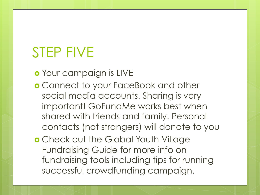## STEP FIVE

Your campaign is LIVE

- Connect to your FaceBook and other social media accounts. Sharing is very important! GoFundMe works best when shared with friends and family. Personal contacts (not strangers) will donate to you
- **o** Check out the Global Youth Village Fundraising Guide for more info on fundraising tools including tips for running successful crowdfunding campaign.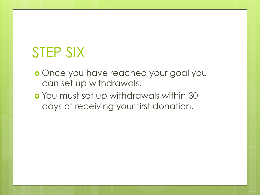# STEP SIX

- **o** Once you have reached your goal you can set up withdrawals.
- You must set up withdrawals within 30 days of receiving your first donation.